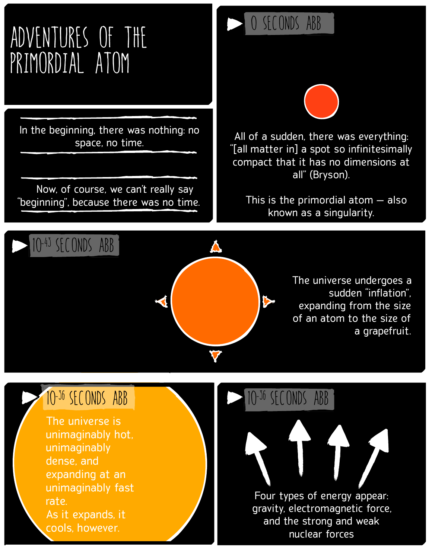# Adventures of the Primordial Atom

In the beginning, there was nothing: no space, no time.

 Now, of course, we can't really say "beginning", because there was no time.

## 0 SECONDS ABB



All of a sudden, there was everything: "[all matter in] a spot so infinitesimally compact that it has no dimensions at all" (Bryson).

 This is the primordial atom — also known as a singularity.



The universe undergoes a sudden "inflation", expanding from the size of an atom to the size of a grapefruit.

#### 10-36 SECONDS ABB

The universe is unimaginably hot, unimaginably dense, and expanding at an unimaginably fast rate. As it expands, it cools, however.

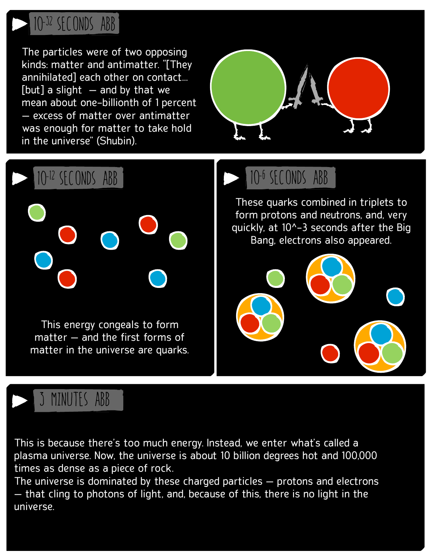

The particles were of two opposing kinds: matter and antimatter. "[They annihilated] each other on contact…  $[but]$  a slight  $-$  and by that we mean about one-billionth of 1 percent — excess of matter over antimatter was enough for matter to take hold in the universe" (Shubin).





# MINUTES ABB

This is because there's too much energy. Instead, we enter what's called a plasma universe. Now, the universe is about 10 billion degrees hot and 100,000 times as dense as a piece of rock.

The universe is dominated by these charged particles — protons and electrons — that cling to photons of light, and, because of this, there is no light in the universe.